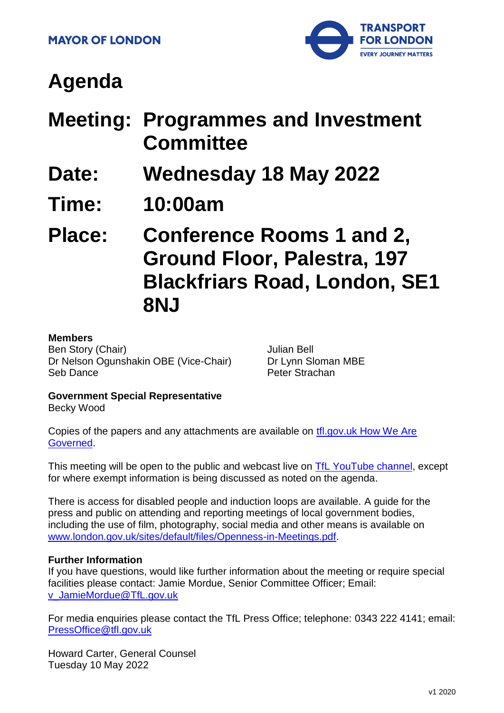

# **Agenda**

- **Meeting: Programmes and Investment Committee**
- **Date: Wednesday 18 May 2022**
- **Time: 10:00am**

**Place: Conference Rooms 1 and 2, Ground Floor, Palestra, 197 Blackfriars Road, London, SE1 8NJ**

#### **Members**

Ben Story (Chair) Dr Nelson Ogunshakin OBE (Vice-Chair) Seb Dance

Julian Bell Dr Lynn Sloman MBE Peter Strachan

## **Government Special Representative**

Becky Wood

Copies of the papers and any attachments are available on [tfl.gov.uk How We Are](http://www.tfl.gov.uk/corporate/about-tfl/how-we-work/how-we-are-governed)  [Governed.](http://www.tfl.gov.uk/corporate/about-tfl/how-we-work/how-we-are-governed)

This meeting will be open to the public and webcast live on **TfL YouTube channel**, except for where exempt information is being discussed as noted on the agenda.

There is access for disabled people and induction loops are available. A guide for the press and public on attending and reporting meetings of local government bodies, including the use of film, photography, social media and other means is available on [www.london.gov.uk/sites/default/files/Openness-in-Meetings.pdf.](http://www.london.gov.uk/sites/default/files/Openness-in-Meetings.pdf)

#### **Further Information**

If you have questions, would like further information about the meeting or require special facilities please contact: Jamie Mordue, Senior Committee Officer; Email: [v\\_JamieMordue@TfL.gov.uk](mailto:v_JamieMordue@TfL.gov.uk)

For media enquiries please contact the TfL Press Office; telephone: 0343 222 4141; email: [PressOffice@tfl.gov.uk](mailto:PressOffice@tfl.gov.uk)

Howard Carter, General Counsel Tuesday 10 May 2022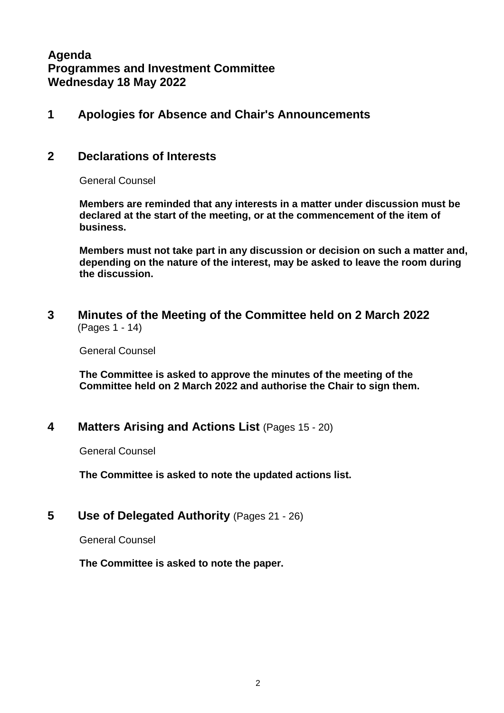## **Agenda Programmes and Investment Committee Wednesday 18 May 2022**

## **1 Apologies for Absence and Chair's Announcements**

#### **2 Declarations of Interests**

General Counsel

**Members are reminded that any interests in a matter under discussion must be declared at the start of the meeting, or at the commencement of the item of business.**

**Members must not take part in any discussion or decision on such a matter and, depending on the nature of the interest, may be asked to leave the room during the discussion.**

**3 Minutes of the Meeting of the Committee held on 2 March 2022** (Pages 1 - 14)

General Counsel

**The Committee is asked to approve the minutes of the meeting of the Committee held on 2 March 2022 and authorise the Chair to sign them.**

#### **4 Matters Arising and Actions List** (Pages 15 - 20)

General Counsel

**The Committee is asked to note the updated actions list.**

#### **5 Use of Delegated Authority** (Pages 21 - 26)

General Counsel

**The Committee is asked to note the paper.**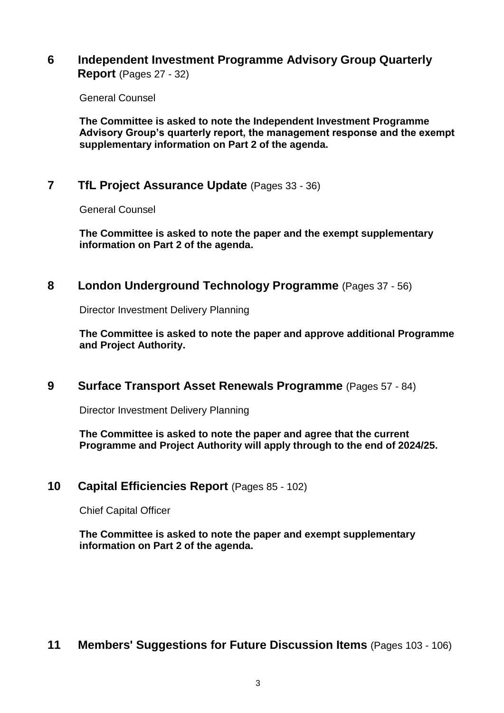#### **6 Independent Investment Programme Advisory Group Quarterly Report** (Pages 27 - 32)

General Counsel

**The Committee is asked to note the Independent Investment Programme Advisory Group's quarterly report, the management response and the exempt supplementary information on Part 2 of the agenda.**

## **7 TfL Project Assurance Update** (Pages 33 - 36)

General Counsel

**The Committee is asked to note the paper and the exempt supplementary information on Part 2 of the agenda.**

#### **8 London Underground Technology Programme** (Pages 37 - 56)

Director Investment Delivery Planning

**The Committee is asked to note the paper and approve additional Programme and Project Authority.**

#### **9 Surface Transport Asset Renewals Programme** (Pages 57 - 84)

Director Investment Delivery Planning

**The Committee is asked to note the paper and agree that the current Programme and Project Authority will apply through to the end of 2024/25.**

## **10 Capital Efficiencies Report** (Pages 85 - 102)

Chief Capital Officer

**The Committee is asked to note the paper and exempt supplementary information on Part 2 of the agenda.**

## **11 Members' Suggestions for Future Discussion Items** (Pages 103 - 106)